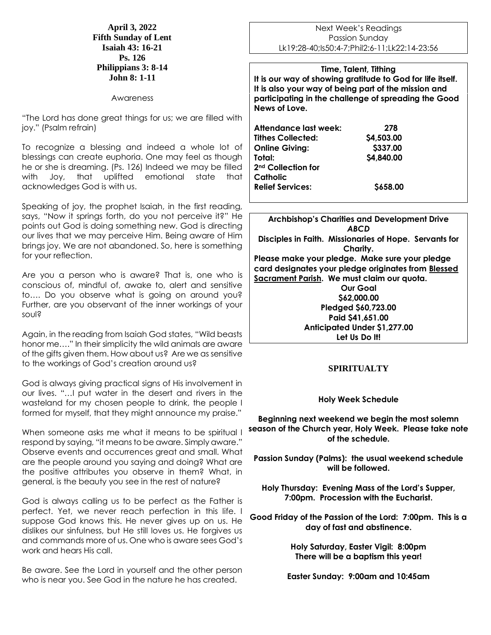**April 3, 2022 Fifth Sunday of Lent Isaiah 43: 16-21 Ps. 126 Philippians 3: 8-14 John 8: 1-11**

#### Awareness

"The Lord has done great things for us; we are filled with joy." (Psalm refrain)

To recognize a blessing and indeed a whole lot of blessings can create euphoria. One may feel as though he or she is dreaming. (Ps. 126) Indeed we may be filled with Joy, that uplifted emotional state that acknowledges God is with us.

Speaking of joy, the prophet Isaiah, in the first reading, says, "Now it springs forth, do you not perceive it?" He points out God is doing something new. God is directing our lives that we may perceive Him. Being aware of Him brings joy. We are not abandoned. So, here is something for your reflection.

Are you a person who is aware? That is, one who is conscious of, mindful of, awake to, alert and sensitive to…. Do you observe what is going on around you? Further, are you observant of the inner workings of your soul?

Again, in the reading from Isaiah God states, "Wild beasts honor me…." In their simplicity the wild animals are aware of the gifts given them. How about us? Are we as sensitive to the workings of God's creation around us?

God is always giving practical signs of His involvement in our lives. "…I put water in the desert and rivers in the wasteland for my chosen people to drink, the people I formed for myself, that they might announce my praise."

When someone asks me what it means to be spiritual I respond by saying, "it means to be aware. Simply aware." Observe events and occurrences great and small. What are the people around you saying and doing? What are the positive attributes you observe in them? What, in general, is the beauty you see in the rest of nature?

God is always calling us to be perfect as the Father is perfect. Yet, we never reach perfection in this life. I suppose God knows this. He never gives up on us. He dislikes our sinfulness, but He still loves us. He forgives us and commands more of us. One who is aware sees God's work and hears His call.

Be aware. See the Lord in yourself and the other person who is near you. See God in the nature he has created.

Next Week's Readings Passion Sunday Lk19:28-40;Is50:4-7;Phil2:6-11;Lk22:14-23:56

**Time, Talent, Tithing It is our way of showing gratitude to God for life itself. It is also your way of being part of the mission and participating in the challenge of spreading the Good News of Love.**

| Attendance last week:          | 278        |
|--------------------------------|------------|
| <b>Tithes Collected:</b>       | \$4,503.00 |
| <b>Online Giving:</b>          | \$337.00   |
| Total:                         | \$4,840.00 |
| 2 <sup>nd</sup> Collection for |            |
| Catholic                       |            |
| <b>Relief Services:</b>        | \$658.00   |

**Archbishop's Charities and Development Drive** *ABCD* **Disciples in Faith. Missionaries of Hope. Servants for Charity. Please make your pledge. Make sure your pledge card designates your pledge originates from Blessed Sacrament Parish. We must claim our quota. Our Goal \$62,000.00 Pledged \$60,723.00 Paid \$41,651.00 Anticipated Under \$1,277.00 Let Us Do It!**

### **SPIRITUALTY**

### **Holy Week Schedule**

**Beginning next weekend we begin the most solemn season of the Church year, Holy Week. Please take note of the schedule.**

**Passion Sunday (Palms): the usual weekend schedule will be followed.**

**Holy Thursday: Evening Mass of the Lord's Supper, 7:00pm. Procession with the Eucharist.**

**Good Friday of the Passion of the Lord: 7:00pm. This is a day of fast and abstinence.**

> **Holy Saturday, Easter Vigil: 8:00pm There will be a baptism this year!**

**Easter Sunday: 9:00am and 10:45am**